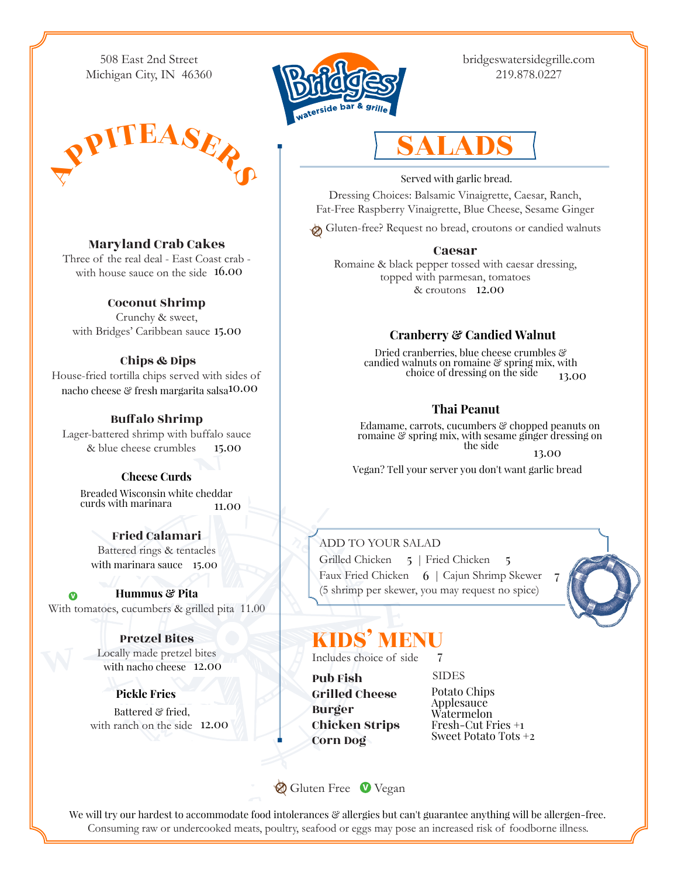508 East 2nd Street Michigan City, IN 46360





bridgeswatersidegrille.com 219.878.0227

# SALADS

### Served with garlic bread.

Dressing Choices: Balsamic Vinaigrette, Caesar, Ranch, Fat-Free Raspberry Vinaigrette, Blue Cheese, Sesame Ginger

Gluten-free? Request no bread, croutons or candied walnuts

#### Caesar

Romaine & black pepper tossed with caesar dressing, topped with parmesan, tomatoes & croutons 11.00 12.00

### **Cranberry & Candied Walnut**

Dried cranberries, blue cheese crumbles & candied walnuts on romaine & spring mix, with choice of dressing on the side  $13.00$ 

#### **Thai Peanut**

Edamame, carrots, cucumbers & chopped peanuts on romaine & spring mix, with sesame ginger dressing on the side 13.00

Vegan? Tell your server you don't want garlic bread

#### ADD TO YOUR SALAD

Grilled Chicken 5 | Fried Chicken 5. Faux Fried Chicken 6 | Cajun Shrimp Skewer 7. (5 shrimp per skewer, you may request no spice)

7



### KIDS' MENU

Includes choice of side  $\overline{7}$ 

Pub Fish Grilled Cheese Burger Chicken Strips Corn Dog

**SIDES** Potato Chips Applesauce Watermelon Fresh-Cut Fries +1 Sweet Potato Tots +2

Maryland Crab Cakes

Three of the real deal - East Coast crab with house sauce on the side  $16.00$ 

#### Coconut Shrimp

Crunchy & sweet, with Bridges' Caribbean sauce 13.00 15.00

#### Chips & Dips

House-fried tortilla chips served with sides of nacho cheese  $\mathcal C$  fresh margarita salsa $10.00$ 

#### Bufalo Shrimp

Lager-battered shrimp with buffalo sauce & blue cheese crumbles 15.00

#### **Cheese Curds**

Breaded Wisconsin white cheddar curds with marinara  $11.00$ 

Fried Calamari Battered rings & tentacles with marinara sauce 15.00

**Hummus & Pita** With tomatoes, cucumbers & grilled pita 11.00

> Pretzel Bites Locally made pretzel bites with nacho cheese 12.00

**Pickle Fries** with ranch on the side 12.00 Battered & fried,

Gluten Free Vegan

We will try our hardest to accommodate food intolerances & allergies but can't guarantee anything will be allergen-free. Consuming raw or undercooked meats, poultry, seafood or eggs may pose an increased risk of foodborne illness.